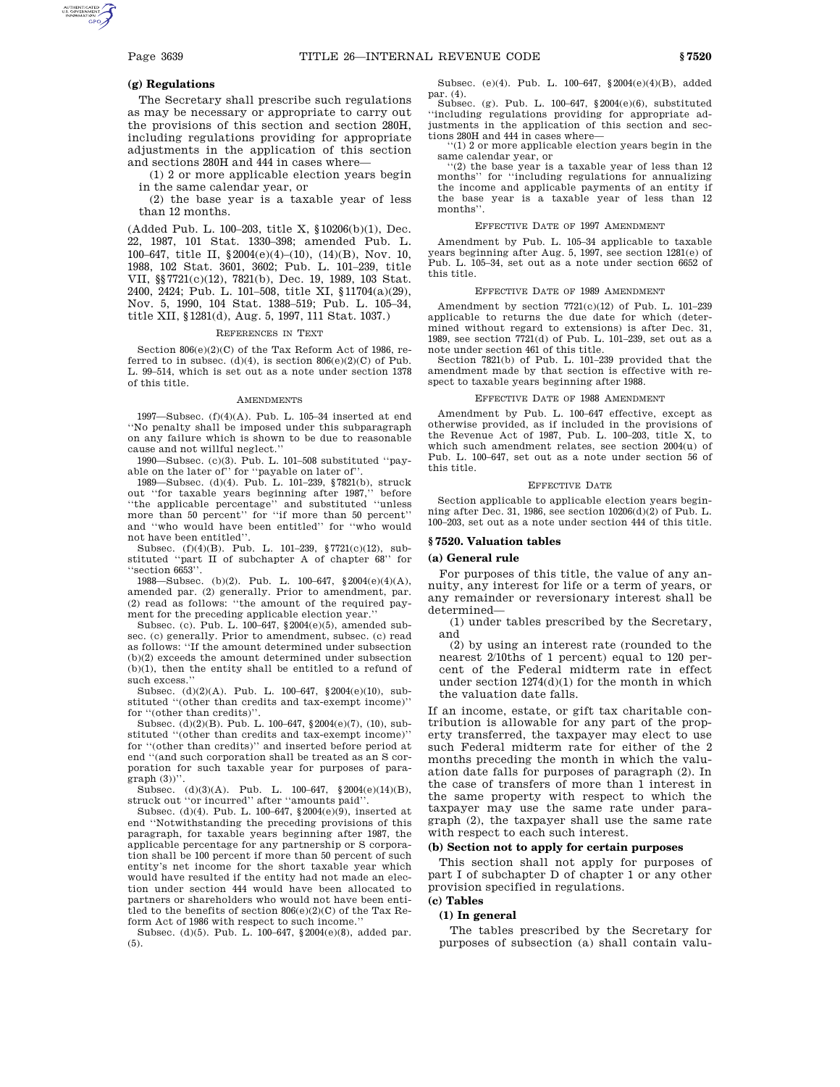## **(g) Regulations**

The Secretary shall prescribe such regulations as may be necessary or appropriate to carry out the provisions of this section and section 280H, including regulations providing for appropriate adjustments in the application of this section and sections 280H and 444 in cases where—

(1) 2 or more applicable election years begin in the same calendar year, or

(2) the base year is a taxable year of less than 12 months.

(Added Pub. L. 100–203, title X, §10206(b)(1), Dec. 22, 1987, 101 Stat. 1330–398; amended Pub. L. 100–647, title II,  $\${\bf 2004}({\bf e})(4)–(10),$   $(14)(\bf B),$  Nov. 10, 1988, 102 Stat. 3601, 3602; Pub. L. 101–239, title VII, §§7721(c)(12), 7821(b), Dec. 19, 1989, 103 Stat. 2400, 2424; Pub. L. 101–508, title XI, §11704(a)(29), Nov. 5, 1990, 104 Stat. 1388–519; Pub. L. 105–34, title XII, §1281(d), Aug. 5, 1997, 111 Stat. 1037.)

#### REFERENCES IN TEXT

Section 806(e)(2)(C) of the Tax Reform Act of 1986, referred to in subsec. (d)(4), is section  $806(e)(2)(C)$  of Pub. L. 99–514, which is set out as a note under section 1378 of this title.

### AMENDMENTS

1997—Subsec. (f)(4)(A). Pub. L. 105–34 inserted at end ''No penalty shall be imposed under this subparagraph on any failure which is shown to be due to reasonable cause and not willful neglect.''

1990—Subsec. (c)(3). Pub. L. 101–508 substituted ''payable on the later of" for "payable on later of".

1989—Subsec. (d)(4). Pub. L. 101–239, §7821(b), struck out ''for taxable years beginning after 1987,'' before ''the applicable percentage'' and substituted ''unless more than 50 percent" for "if more than 50 percent" and ''who would have been entitled'' for ''who would not have been entitled''.

Subsec. (f)(4)(B). Pub. L. 101–239, §7721(c)(12), substituted ''part II of subchapter A of chapter 68'' for ''section 6653''.

1988—Subsec. (b)(2). Pub. L. 100–647,  $\${\bf 2004}({\bf e})(4)({\bf A}),$ amended par. (2) generally. Prior to amendment, par. (2) read as follows: ''the amount of the required payment for the preceding applicable election year.''

Subsec. (c). Pub. L. 100–647, §2004(e)(5), amended subsec. (c) generally. Prior to amendment, subsec. (c) read as follows: ''If the amount determined under subsection (b)(2) exceeds the amount determined under subsection (b)(1), then the entity shall be entitled to a refund of such excess.''

Subsec.  $(d)(2)(A)$ . Pub. L. 100–647, §2004 $(e)(10)$ , substituted ''(other than credits and tax-exempt income)'' for ''(other than credits)''.

Subsec. (d)(2)(B). Pub. L. 100–647, §2004(e)(7), (10), substituted ''(other than credits and tax-exempt income)'' for ''(other than credits)'' and inserted before period at end ''(and such corporation shall be treated as an S corporation for such taxable year for purposes of paragraph  $(3)$ )''.

Subsec.  $(d)(3)(A)$ . Pub. L. 100–647, §2004 $(e)(14)(B)$ , struck out ''or incurred'' after ''amounts paid''.

Subsec. (d)(4). Pub. L. 100–647,  $§2004(e)(9)$ , inserted at end ''Notwithstanding the preceding provisions of this paragraph, for taxable years beginning after 1987, the applicable percentage for any partnership or S corporation shall be 100 percent if more than 50 percent of such entity's net income for the short taxable year which would have resulted if the entity had not made an election under section 444 would have been allocated to partners or shareholders who would not have been entitled to the benefits of section  $806(e)(2)(C)$  of the Tax Reform Act of 1986 with respect to such income.''

Subsec. (d)(5). Pub. L. 100–647, §2004(e)(8), added par. (5).

Subsec. (e)(4). Pub. L. 100–647, §2004(e)(4)(B), added par. (4).

Subsec. (g). Pub. L. 100–647, §2004(e)(6), substituted ''including regulations providing for appropriate adjustments in the application of this section and sections 280H and 444 in cases where—

''(1) 2 or more applicable election years begin in the same calendar year, or

''(2) the base year is a taxable year of less than 12 months'' for ''including regulations for annualizing the income and applicable payments of an entity if the base year is a taxable year of less than 12 months''.

#### EFFECTIVE DATE OF 1997 AMENDMENT

Amendment by Pub. L. 105–34 applicable to taxable years beginning after Aug. 5, 1997, see section 1281(e) of Pub. L. 105–34, set out as a note under section 6652 of this title.

#### EFFECTIVE DATE OF 1989 AMENDMENT

Amendment by section 7721(c)(12) of Pub. L. 101–239 applicable to returns the due date for which (determined without regard to extensions) is after Dec. 31, 1989, see section 7721(d) of Pub. L. 101–239, set out as a note under section 461 of this title.

Section 7821(b) of Pub. L. 101–239 provided that the amendment made by that section is effective with respect to taxable years beginning after 1988.

#### EFFECTIVE DATE OF 1988 AMENDMENT

Amendment by Pub. L. 100–647 effective, except as otherwise provided, as if included in the provisions of the Revenue Act of 1987, Pub. L. 100–203, title X, to which such amendment relates, see section 2004(u) of Pub. L. 100–647, set out as a note under section 56 of this title.

### EFFECTIVE DATE

Section applicable to applicable election years beginning after Dec. 31, 1986, see section  $10206(d)(2)$  of Pub. L. 100–203, set out as a note under section 444 of this title.

### **§ 7520. Valuation tables**

## **(a) General rule**

For purposes of this title, the value of any annuity, any interest for life or a term of years, or any remainder or reversionary interest shall be determined—

(1) under tables prescribed by the Secretary, and

(2) by using an interest rate (rounded to the nearest 2/10ths of 1 percent) equal to 120 percent of the Federal midterm rate in effect under section  $1274(d)(1)$  for the month in which the valuation date falls.

If an income, estate, or gift tax charitable contribution is allowable for any part of the property transferred, the taxpayer may elect to use such Federal midterm rate for either of the 2 months preceding the month in which the valuation date falls for purposes of paragraph (2). In the case of transfers of more than 1 interest in the same property with respect to which the taxpayer may use the same rate under paragraph (2), the taxpayer shall use the same rate with respect to each such interest.

## **(b) Section not to apply for certain purposes**

This section shall not apply for purposes of part I of subchapter D of chapter 1 or any other provision specified in regulations.

#### **(c) Tables**

### **(1) In general**

The tables prescribed by the Secretary for purposes of subsection (a) shall contain valu